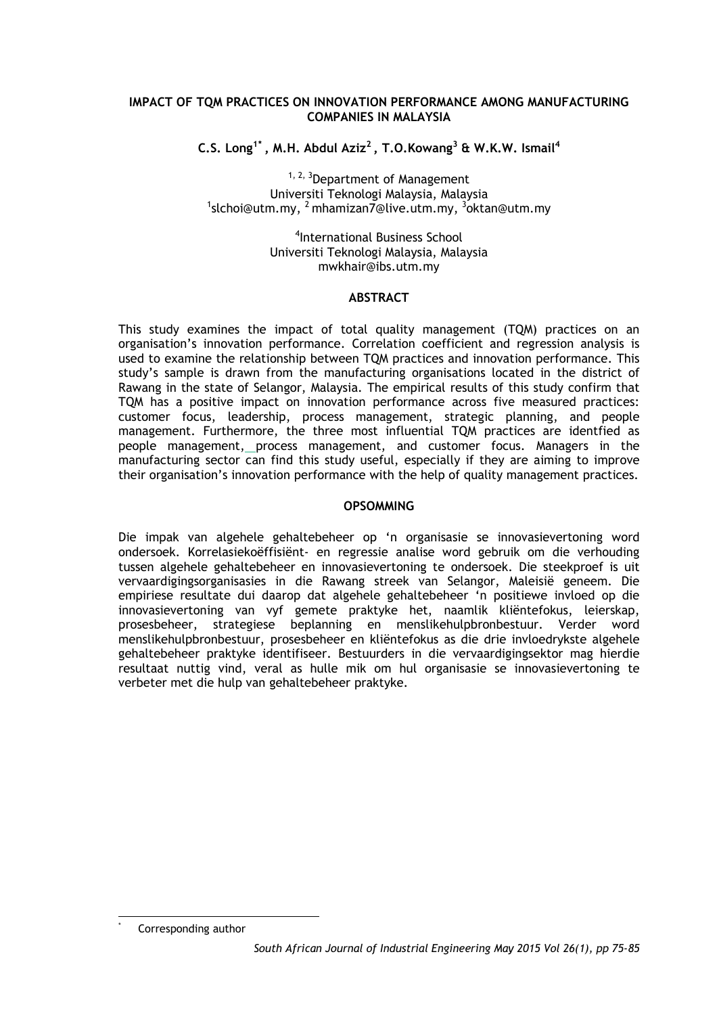## **IMPACT OF TQM PRACTICES ON INNOVATION PERFORMANCE AMONG MANUFACTURING COMPANIES IN MALAYSIA**

**C.S. Long1[\\*](#page-0-0) , M.H. Abdul Aziz2 , T.O.Kowang3 & W.K.W. Ismail4**

<sup>1, 2, 3</sup>Department of Management<br>Universiti Teknologi Malaysia, Malaysia Universiti Teknologi Malaysia, Malaysia<br><sup>1</sup>slchoi@utm.my, <sup>2</sup> mhamizan7@live.utm.my, <sup>3</sup>oktan@utm.my

> 4 International Business School Universiti Teknologi Malaysia, Malaysia mwkhair@ibs.utm.my

#### **ABSTRACT**

This study examines the impact of total quality management (TQM) practices on an organisation's innovation performance. Correlation coefficient and regression analysis is used to examine the relationship between TQM practices and innovation performance. This study's sample is drawn from the manufacturing organisations located in the district of Rawang in the state of Selangor, Malaysia. The empirical results of this study confirm that TQM has a positive impact on innovation performance across five measured practices: customer focus, leadership, process management, strategic planning, and people management. Furthermore, the three most influential TQM practices are identfied as people management, process management, and customer focus. Managers in the manufacturing sector can find this study useful, especially if they are aiming to improve their organisation's innovation performance with the help of quality management practices.

#### **OPSOMMING**

Die impak van algehele gehaltebeheer op 'n organisasie se innovasievertoning word ondersoek. Korrelasiekoëffisiënt- en regressie analise word gebruik om die verhouding tussen algehele gehaltebeheer en innovasievertoning te ondersoek. Die steekproef is uit vervaardigingsorganisasies in die Rawang streek van Selangor, Maleisië geneem. Die empiriese resultate dui daarop dat algehele gehaltebeheer 'n positiewe invloed op die innovasievertoning van vyf gemete praktyke het, naamlik kliëntefokus, leierskap, prosesbeheer, strategiese beplanning en menslikehulpbronbestuur. Verder word menslikehulpbronbestuur, prosesbeheer en kliëntefokus as die drie invloedrykste algehele gehaltebeheer praktyke identifiseer. Bestuurders in die vervaardigingsektor mag hierdie resultaat nuttig vind, veral as hulle mik om hul organisasie se innovasievertoning te verbeter met die hulp van gehaltebeheer praktyke.

<span id="page-0-0"></span>Corresponding author -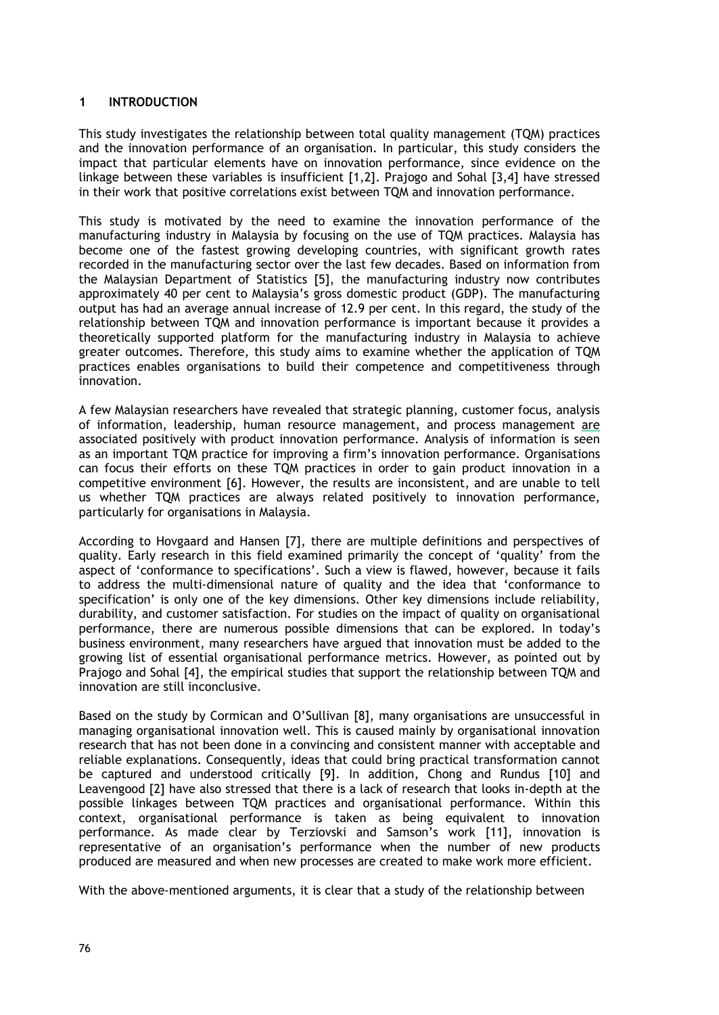## **1 INTRODUCTION**

This study investigates the relationship between total quality management (TQM) practices and the innovation performance of an organisation. In particular, this study considers the impact that particular elements have on innovation performance, since evidence on the linkage between these variables is insufficient [1,2]. Prajogo and Sohal [3,4] have stressed in their work that positive correlations exist between TQM and innovation performance.

This study is motivated by the need to examine the innovation performance of the manufacturing industry in Malaysia by focusing on the use of TQM practices. Malaysia has become one of the fastest growing developing countries, with significant growth rates recorded in the manufacturing sector over the last few decades. Based on information from the Malaysian Department of Statistics [5], the manufacturing industry now contributes approximately 40 per cent to Malaysia's gross domestic product (GDP). The manufacturing output has had an average annual increase of 12.9 per cent. In this regard, the study of the relationship between TQM and innovation performance is important because it provides a theoretically supported platform for the manufacturing industry in Malaysia to achieve greater outcomes. Therefore, this study aims to examine whether the application of TQM practices enables organisations to build their competence and competitiveness through innovation.

A few Malaysian researchers have revealed that strategic planning, customer focus, analysis of information, leadership, human resource management, and process management are associated positively with product innovation performance. Analysis of information is seen as an important TQM practice for improving a firm's innovation performance. Organisations can focus their efforts on these TQM practices in order to gain product innovation in a competitive environment [6]. However, the results are inconsistent, and are unable to tell us whether TQM practices are always related positively to innovation performance, particularly for organisations in Malaysia.

According to Hovgaard and Hansen [7], there are multiple definitions and perspectives of quality. Early research in this field examined primarily the concept of 'quality' from the aspect of 'conformance to specifications'. Such a view is flawed, however, because it fails to address the multi-dimensional nature of quality and the idea that 'conformance to specification' is only one of the key dimensions. Other key dimensions include reliability, durability, and customer satisfaction. For studies on the impact of quality on organisational performance, there are numerous possible dimensions that can be explored. In today's business environment, many researchers have argued that innovation must be added to the growing list of essential organisational performance metrics. However, as pointed out by Prajogo and Sohal [4], the empirical studies that support the relationship between TQM and innovation are still inconclusive.

Based on the study by Cormican and O'Sullivan [8], many organisations are unsuccessful in managing organisational innovation well. This is caused mainly by organisational innovation research that has not been done in a convincing and consistent manner with acceptable and reliable explanations. Consequently, ideas that could bring practical transformation cannot be captured and understood critically [9]. In addition, Chong and Rundus [10] and Leavengood [2] have also stressed that there is a lack of research that looks in-depth at the possible linkages between TQM practices and organisational performance. Within this context, organisational performance is taken as being equivalent to innovation performance. As made clear by Terziovski and Samson's work [11], innovation is representative of an organisation's performance when the number of new products produced are measured and when new processes are created to make work more efficient.

With the above-mentioned arguments, it is clear that a study of the relationship between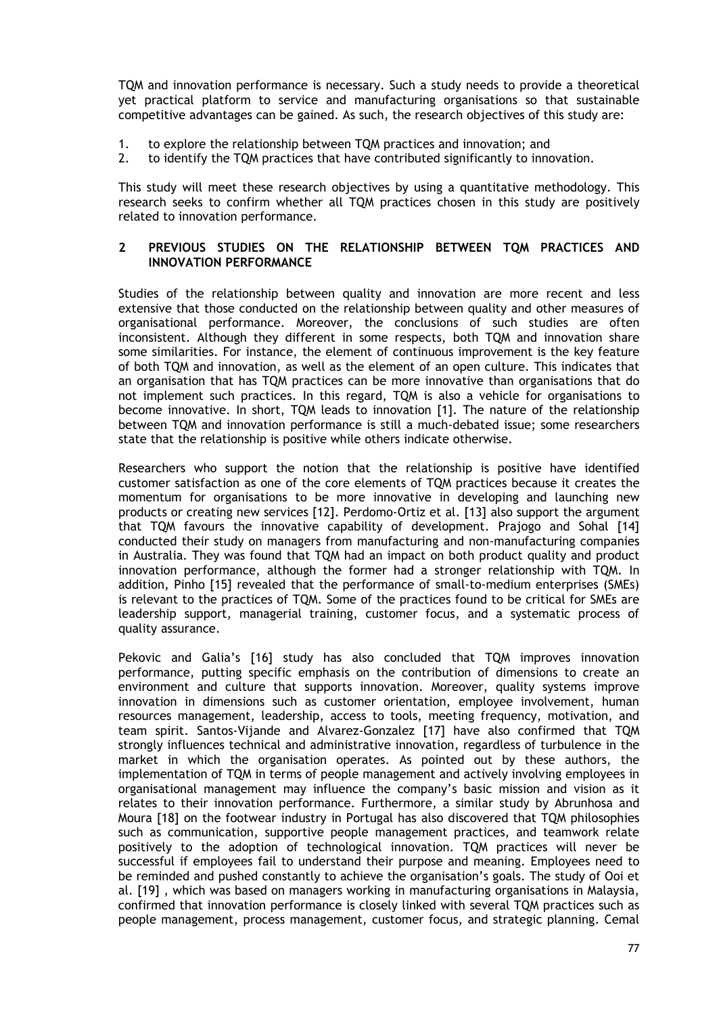TQM and innovation performance is necessary. Such a study needs to provide a theoretical yet practical platform to service and manufacturing organisations so that sustainable competitive advantages can be gained. As such, the research objectives of this study are:

- 1. to explore the relationship between TQM practices and innovation; and 2. to identify the TOM practices that have contributed significantly to inno
- 2. to identify the TQM practices that have contributed significantly to innovation.

This study will meet these research objectives by using a quantitative methodology. This research seeks to confirm whether all TQM practices chosen in this study are positively related to innovation performance.

#### **2 PREVIOUS STUDIES ON THE RELATIONSHIP BETWEEN TQM PRACTICES AND INNOVATION PERFORMANCE**

Studies of the relationship between quality and innovation are more recent and less extensive that those conducted on the relationship between quality and other measures of organisational performance. Moreover, the conclusions of such studies are often inconsistent. Although they different in some respects, both TQM and innovation share some similarities. For instance, the element of continuous improvement is the key feature of both TQM and innovation, as well as the element of an open culture. This indicates that an organisation that has TQM practices can be more innovative than organisations that do not implement such practices. In this regard, TQM is also a vehicle for organisations to become innovative. In short, TQM leads to innovation [1]. The nature of the relationship between TQM and innovation performance is still a much-debated issue; some researchers state that the relationship is positive while others indicate otherwise.

Researchers who support the notion that the relationship is positive have identified customer satisfaction as one of the core elements of TQM practices because it creates the momentum for organisations to be more innovative in developing and launching new products or creating new services [12]. Perdomo-Ortiz et al. [13] also support the argument that TQM favours the innovative capability of development. Prajogo and Sohal [14] conducted their study on managers from manufacturing and non-manufacturing companies in Australia. They was found that TQM had an impact on both product quality and product innovation performance, although the former had a stronger relationship with TQM. In addition, Pinho [15] revealed that the performance of small-to-medium enterprises (SMEs) is relevant to the practices of TQM. Some of the practices found to be critical for SMEs are leadership support, managerial training, customer focus, and a systematic process of quality assurance.

Pekovic and Galia's [16] study has also concluded that TQM improves innovation performance, putting specific emphasis on the contribution of dimensions to create an environment and culture that supports innovation. Moreover, quality systems improve innovation in dimensions such as customer orientation, employee involvement, human resources management, leadership, access to tools, meeting frequency, motivation, and team spirit. Santos-Vijande and Alvarez-Gonzalez [17] have also confirmed that TQM strongly influences technical and administrative innovation, regardless of turbulence in the market in which the organisation operates. As pointed out by these authors, the implementation of TQM in terms of people management and actively involving employees in organisational management may influence the company's basic mission and vision as it relates to their innovation performance. Furthermore, a similar study by Abrunhosa and Moura [18] on the footwear industry in Portugal has also discovered that TQM philosophies such as communication, supportive people management practices, and teamwork relate positively to the adoption of technological innovation. TQM practices will never be successful if employees fail to understand their purpose and meaning. Employees need to be reminded and pushed constantly to achieve the organisation's goals. The study of Ooi et al. [19] , which was based on managers working in manufacturing organisations in Malaysia, confirmed that innovation performance is closely linked with several TQM practices such as people management, process management, customer focus, and strategic planning. Cemal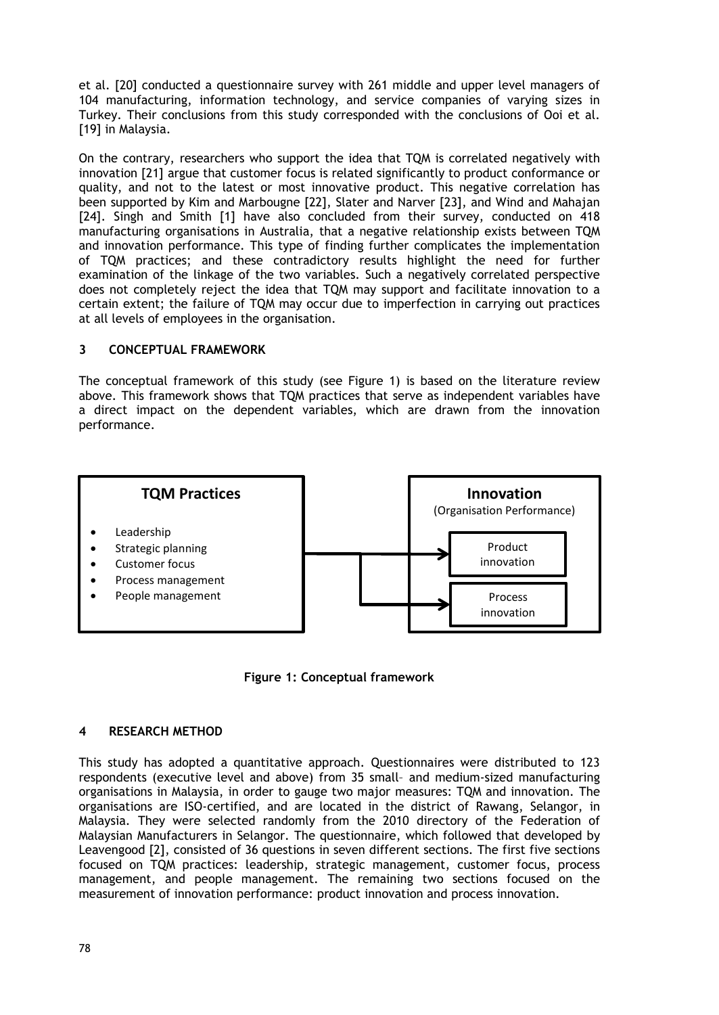et al. [20] conducted a questionnaire survey with 261 middle and upper level managers of 104 manufacturing, information technology, and service companies of varying sizes in Turkey. Their conclusions from this study corresponded with the conclusions of Ooi et al. [19] in Malaysia.

On the contrary, researchers who support the idea that TQM is correlated negatively with innovation [21] argue that customer focus is related significantly to product conformance or quality, and not to the latest or most innovative product. This negative correlation has been supported by Kim and Marbougne [22], Slater and Narver [23], and Wind and Mahajan [24]. Singh and Smith [1] have also concluded from their survey, conducted on 418 manufacturing organisations in Australia, that a negative relationship exists between TQM and innovation performance. This type of finding further complicates the implementation of TQM practices; and these contradictory results highlight the need for further examination of the linkage of the two variables. Such a negatively correlated perspective does not completely reject the idea that TQM may support and facilitate innovation to a certain extent; the failure of TQM may occur due to imperfection in carrying out practices at all levels of employees in the organisation.

## **3 CONCEPTUAL FRAMEWORK**

The conceptual framework of this study (see Figure 1) is based on the literature review above. This framework shows that TQM practices that serve as independent variables have a direct impact on the dependent variables, which are drawn from the innovation performance.



**Figure 1: Conceptual framework**

#### **4 RESEARCH METHOD**

This study has adopted a quantitative approach. Questionnaires were distributed to 123 respondents (executive level and above) from 35 small– and medium-sized manufacturing organisations in Malaysia, in order to gauge two major measures: TQM and innovation. The organisations are ISO-certified, and are located in the district of Rawang, Selangor, in Malaysia. They were selected randomly from the 2010 directory of the Federation of Malaysian Manufacturers in Selangor. The questionnaire, which followed that developed by Leavengood [2], consisted of 36 questions in seven different sections. The first five sections focused on TQM practices: leadership, strategic management, customer focus, process management, and people management. The remaining two sections focused on the measurement of innovation performance: product innovation and process innovation.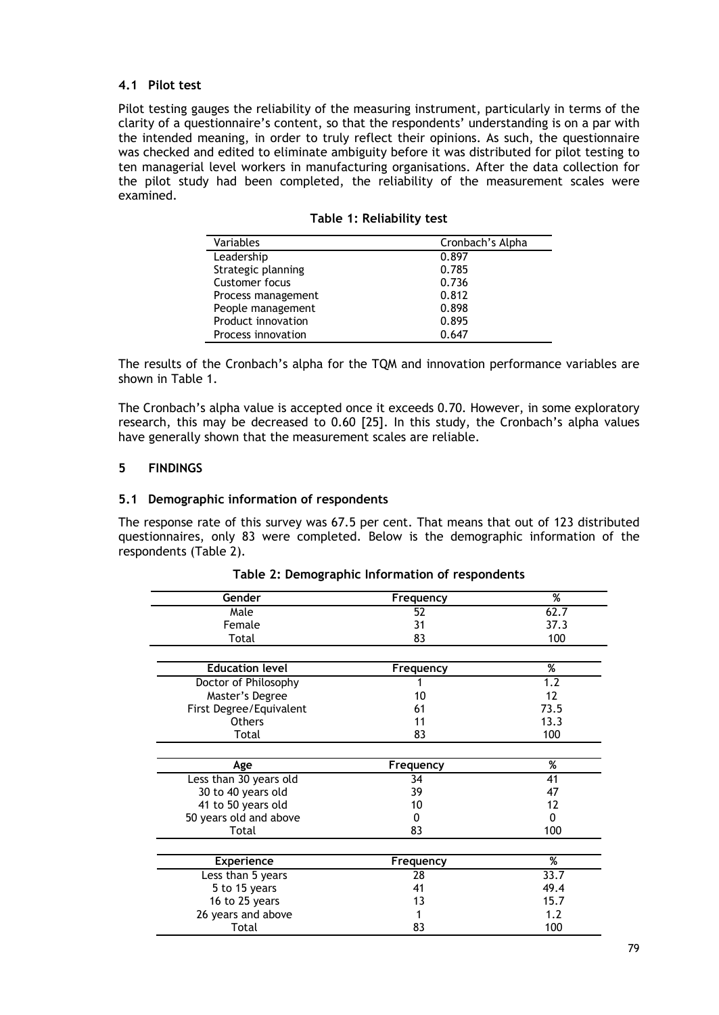## **4.1 Pilot test**

Pilot testing gauges the reliability of the measuring instrument, particularly in terms of the clarity of a questionnaire's content, so that the respondents' understanding is on a par with the intended meaning, in order to truly reflect their opinions. As such, the questionnaire was checked and edited to eliminate ambiguity before it was distributed for pilot testing to ten managerial level workers in manufacturing organisations. After the data collection for the pilot study had been completed, the reliability of the measurement scales were examined.

| Table 1: Reliability test |  |  |  |  |  |
|---------------------------|--|--|--|--|--|
|---------------------------|--|--|--|--|--|

| Variables          | Cronbach's Alpha |
|--------------------|------------------|
| Leadership         | 0.897            |
| Strategic planning | 0.785            |
| Customer focus     | 0.736            |
| Process management | 0.812            |
| People management  | 0.898            |
| Product innovation | 0.895            |
| Process innovation | 0.647            |

The results of the Cronbach's alpha for the TQM and innovation performance variables are shown in Table 1.

The Cronbach's alpha value is accepted once it exceeds 0.70. However, in some exploratory research, this may be decreased to 0.60 [25]. In this study, the Cronbach's alpha values have generally shown that the measurement scales are reliable.

#### **5 FINDINGS**

#### **5.1 Demographic information of respondents**

The response rate of this survey was 67.5 per cent. That means that out of 123 distributed questionnaires, only 83 were completed. Below is the demographic information of the respondents (Table 2).

| Gender                  | Frequency | %    |
|-------------------------|-----------|------|
| Male                    | 52        | 62.7 |
| Female                  | 31        | 37.3 |
| Total                   | 83        | 100  |
|                         |           |      |
| <b>Education level</b>  | Frequency | %    |
| Doctor of Philosophy    |           | 1.2  |
| Master's Degree         | 10        | 12   |
| First Degree/Equivalent | 61        | 73.5 |
| <b>Others</b>           | 11        | 13.3 |
| Total                   | 83        | 100  |
|                         |           |      |
| Age                     | Frequency | %    |
| Less than 30 years old  | 34        | 41   |
| 30 to 40 years old      | 39        | 47   |
| 41 to 50 years old      | 10        | 12   |
| 50 years old and above  | 0         | 0    |
| Total                   | 83        | 100  |
|                         |           |      |
| <b>Experience</b>       | Frequency | %    |
| Less than 5 years       | 28        | 33.7 |
| 5 to 15 years           | 41        | 49.4 |
| 16 to 25 years          | 13        | 15.7 |
| 26 years and above      |           | 1.2  |
| Total                   | 83        | 100  |

**Table 2: Demographic Information of respondents**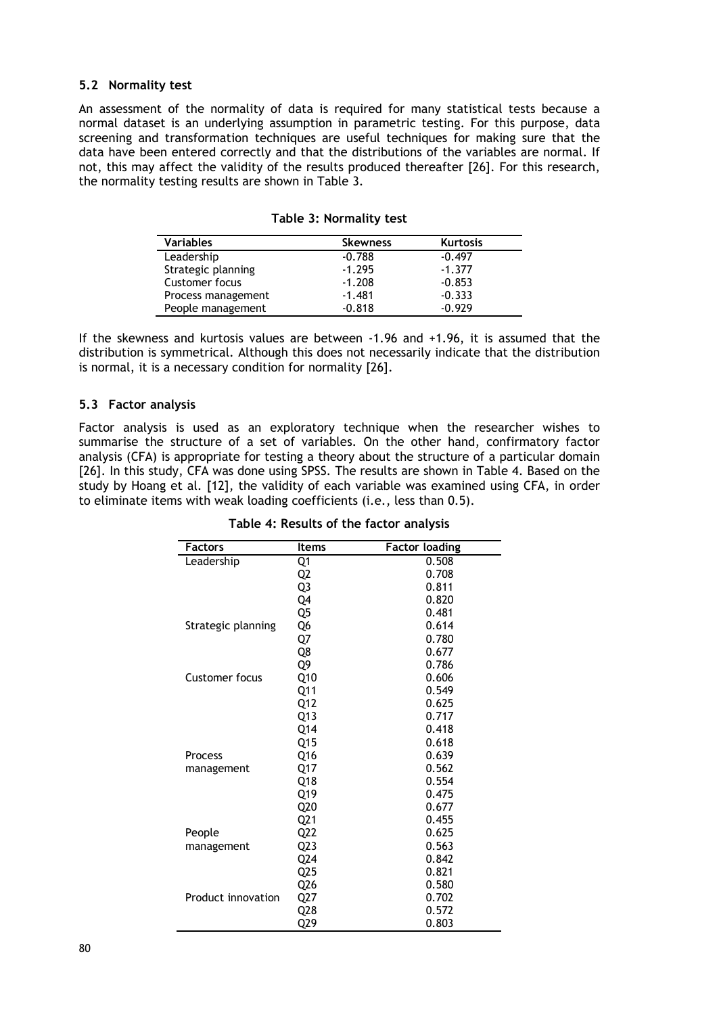#### **5.2 Normality test**

An assessment of the normality of data is required for many statistical tests because a normal dataset is an underlying assumption in parametric testing. For this purpose, data screening and transformation techniques are useful techniques for making sure that the data have been entered correctly and that the distributions of the variables are normal. If not, this may affect the validity of the results produced thereafter [26]. For this research, the normality testing results are shown in Table 3.

| <b>Variables</b>   | <b>Skewness</b> | <b>Kurtosis</b> |
|--------------------|-----------------|-----------------|
| Leadership         | $-0.788$        | $-0.497$        |
| Strategic planning | $-1.295$        | $-1.377$        |
| Customer focus     | $-1.208$        | $-0.853$        |
| Process management | $-1.481$        | $-0.333$        |
| People management  | $-0.818$        | $-0.929$        |

**Table 3: Normality test**

If the skewness and kurtosis values are between -1.96 and +1.96, it is assumed that the distribution is symmetrical. Although this does not necessarily indicate that the distribution is normal, it is a necessary condition for normality [26].

#### **5.3 Factor analysis**

Factor analysis is used as an exploratory technique when the researcher wishes to summarise the structure of a set of variables. On the other hand, confirmatory factor analysis (CFA) is appropriate for testing a theory about the structure of a particular domain [26]. In this study, CFA was done using SPSS. The results are shown in Table 4. Based on the study by Hoang et al. [12], the validity of each variable was examined using CFA, in order to eliminate items with weak loading coefficients (i.e., less than 0.5).

| Factors            | Items           | <b>Factor loading</b> |
|--------------------|-----------------|-----------------------|
| Leadership         | Q1              | 0.508                 |
|                    | Q2              | 0.708                 |
|                    | Q3              | 0.811                 |
|                    | Q4              | 0.820                 |
|                    | Q5              | 0.481                 |
| Strategic planning | Q6              | 0.614                 |
|                    | Q7              | 0.780                 |
|                    | Q8              | 0.677                 |
|                    | Q9              | 0.786                 |
| Customer focus     | Q10             | 0.606                 |
|                    | Q11             | 0.549                 |
|                    | Q12             | 0.625                 |
|                    | Q13             | 0.717                 |
|                    | Q14             | 0.418                 |
|                    | Q15             | 0.618                 |
| Process            | Q16             | 0.639                 |
| management         | Q17             | 0.562                 |
|                    | Q18             | 0.554                 |
|                    | Q19             | 0.475                 |
|                    | Q20             | 0.677                 |
|                    | Q <sub>21</sub> | 0.455                 |
| People             | Q <sub>22</sub> | 0.625                 |
| management         | Q23             | 0.563                 |
|                    | Q24             | 0.842                 |
|                    | Q25             | 0.821                 |
|                    | Q26             | 0.580                 |
| Product innovation | Q27             | 0.702                 |
|                    | Q28             | 0.572                 |
|                    | Q29             | 0.803                 |

**Table 4: Results of the factor analysis**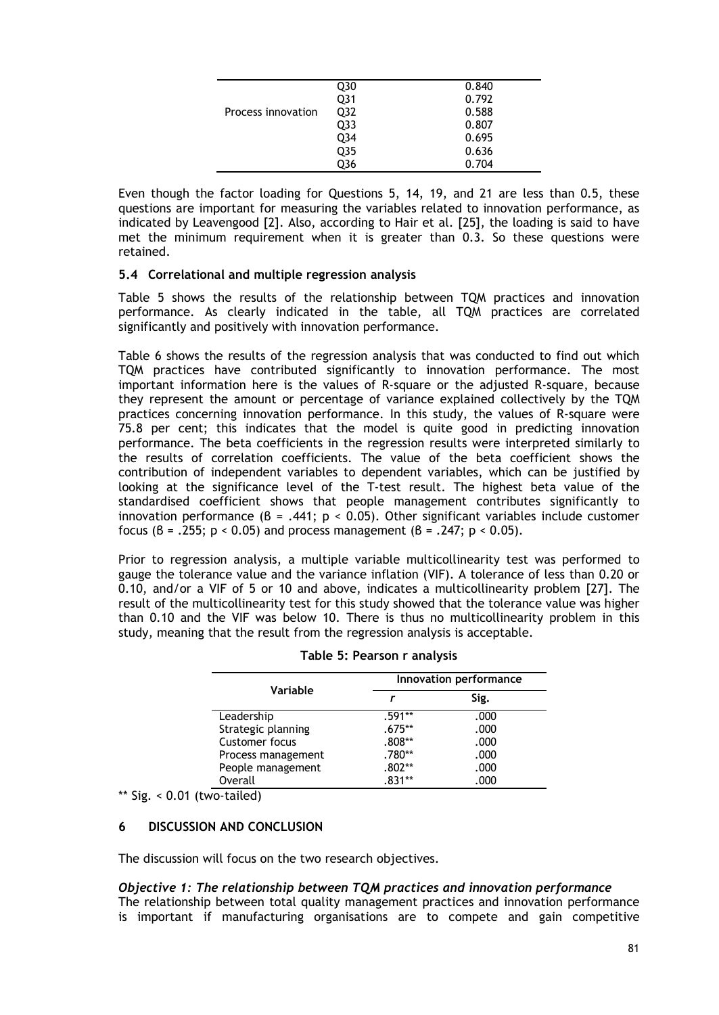|                    | Q30 | 0.840 |
|--------------------|-----|-------|
|                    | Q31 | 0.792 |
| Process innovation | Q32 | 0.588 |
|                    | Q33 | 0.807 |
|                    | Q34 | 0.695 |
|                    | Q35 | 0.636 |
|                    | 036 | 0.704 |
|                    |     |       |

Even though the factor loading for Questions 5, 14, 19, and 21 are less than 0.5, these questions are important for measuring the variables related to innovation performance, as indicated by Leavengood [2]. Also, according to Hair et al. [25], the loading is said to have met the minimum requirement when it is greater than 0.3. So these questions were retained.

#### **5.4 Correlational and multiple regression analysis**

Table 5 shows the results of the relationship between TQM practices and innovation performance. As clearly indicated in the table, all TQM practices are correlated significantly and positively with innovation performance.

Table 6 shows the results of the regression analysis that was conducted to find out which TQM practices have contributed significantly to innovation performance. The most important information here is the values of R-square or the adjusted R-square, because they represent the amount or percentage of variance explained collectively by the TQM practices concerning innovation performance. In this study, the values of R-square were 75.8 per cent; this indicates that the model is quite good in predicting innovation performance. The beta coefficients in the regression results were interpreted similarly to the results of correlation coefficients. The value of the beta coefficient shows the contribution of independent variables to dependent variables, which can be justified by looking at the significance level of the T-test result. The highest beta value of the standardised coefficient shows that people management contributes significantly to innovation performance  $(B = .441; p < 0.05)$ . Other significant variables include customer focus ( $\beta$  = .255; p < 0.05) and process management ( $\beta$  = .247; p < 0.05).

Prior to regression analysis, a multiple variable multicollinearity test was performed to gauge the tolerance value and the variance inflation (VIF). A tolerance of less than 0.20 or 0.10, and/or a VIF of 5 or 10 and above, indicates a multicollinearity problem [27]. The result of the multicollinearity test for this study showed that the tolerance value was higher than 0.10 and the VIF was below 10. There is thus no multicollinearity problem in this study, meaning that the result from the regression analysis is acceptable.

|                    | Innovation performance |      |  |  |
|--------------------|------------------------|------|--|--|
| Variable           |                        | Sig. |  |  |
| Leadership         | $.591**$               | .000 |  |  |
| Strategic planning | $.675**$               | .000 |  |  |
| Customer focus     | $.808**$               | .000 |  |  |
| Process management | .780**                 | .000 |  |  |
| People management  | .802**                 | .000 |  |  |
| Overall            | 831**                  | .000 |  |  |

| Table 5: Pearson r analysis |  |  |  |  |
|-----------------------------|--|--|--|--|
|-----------------------------|--|--|--|--|

 $**$  Sig. < 0.01 (two-tailed)

# **6 DISCUSSION AND CONCLUSION**

The discussion will focus on the two research objectives.

# *Objective 1: The relationship between TQM practices and innovation performance*

The relationship between total quality management practices and innovation performance is important if manufacturing organisations are to compete and gain competitive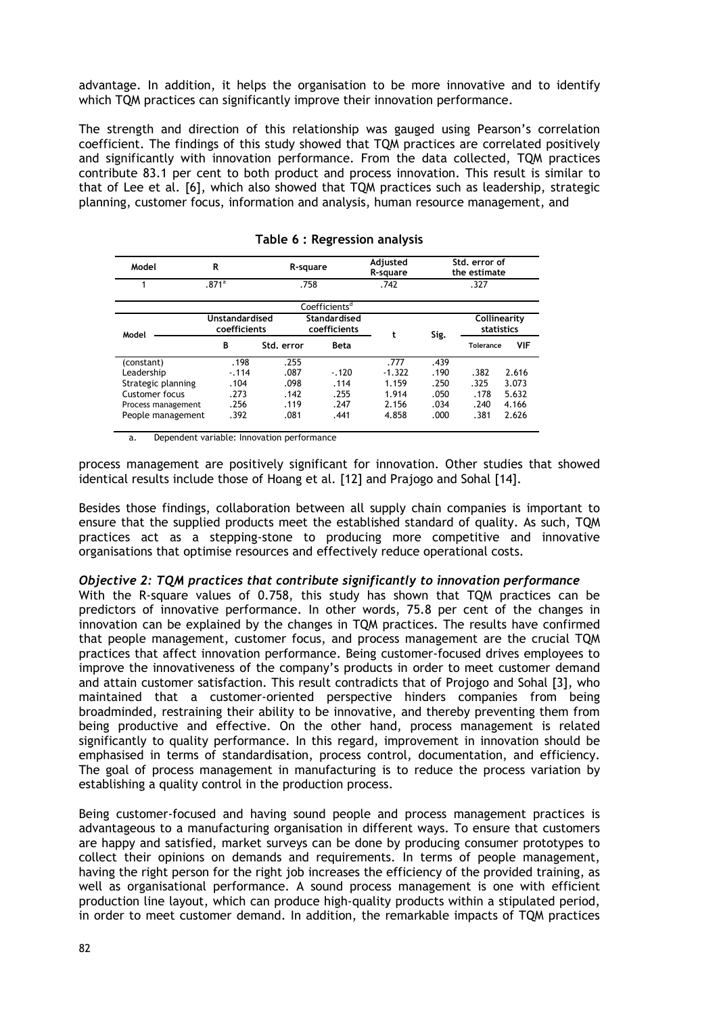advantage. In addition, it helps the organisation to be more innovative and to identify which TQM practices can significantly improve their innovation performance.

The strength and direction of this relationship was gauged using Pearson's correlation coefficient. The findings of this study showed that TQM practices are correlated positively and significantly with innovation performance. From the data collected, TQM practices contribute 83.1 per cent to both product and process innovation. This result is similar to that of Lee et al. [6], which also showed that TQM practices such as leadership, strategic planning, customer focus, information and analysis, human resource management, and

| Model              | R                              | R-square   |                              | Adjusted<br>R-square | Std. error of<br>the estimate |           |                            |
|--------------------|--------------------------------|------------|------------------------------|----------------------|-------------------------------|-----------|----------------------------|
|                    | .871 <sup>a</sup>              | .758       |                              | .742                 | .327                          |           |                            |
|                    |                                |            | Coefficients <sup>d</sup>    |                      |                               |           |                            |
| Model              | Unstandardised<br>coefficients |            | Standardised<br>coefficients | t                    | Sig.                          |           | Collinearity<br>statistics |
|                    | в                              | Std. error | <b>Beta</b>                  |                      |                               | Tolerance | <b>VIF</b>                 |
| (constant)         | .198                           | .255       |                              | .777                 | .439                          |           |                            |
| Leadership         | $-114$                         | .087       | $-.120$                      | $-1.322$             | .190                          | .382      | 2.616                      |
| Strategic planning | .104                           | .098       | .114                         | 1.159                | .250                          | .325      | 3.073                      |
| Customer focus     | .273                           | .142       | .255                         | 1.914                | .050                          | .178      | 5.632                      |
| Process management | .256                           | .119       | .247                         | 2.156                | .034                          | .240      | 4.166                      |
| People management  | .392                           | .081       | .441                         | 4.858                | .000                          | .381      | 2.626                      |

**Table 6 : Regression analysis**

a. Dependent variable: Innovation performance

process management are positively significant for innovation. Other studies that showed identical results include those of Hoang et al. [12] and Prajogo and Sohal [14].

Besides those findings, collaboration between all supply chain companies is important to ensure that the supplied products meet the established standard of quality. As such, TQM practices act as a stepping-stone to producing more competitive and innovative organisations that optimise resources and effectively reduce operational costs.

## *Objective 2: TQM practices that contribute significantly to innovation performance*

With the R-square values of 0.758, this study has shown that TQM practices can be predictors of innovative performance. In other words, 75.8 per cent of the changes in innovation can be explained by the changes in TQM practices. The results have confirmed that people management, customer focus, and process management are the crucial TQM practices that affect innovation performance. Being customer-focused drives employees to improve the innovativeness of the company's products in order to meet customer demand and attain customer satisfaction. This result contradicts that of Projogo and Sohal [3], who maintained that a customer-oriented perspective hinders companies from being broadminded, restraining their ability to be innovative, and thereby preventing them from being productive and effective. On the other hand, process management is related significantly to quality performance. In this regard, improvement in innovation should be emphasised in terms of standardisation, process control, documentation, and efficiency. The goal of process management in manufacturing is to reduce the process variation by establishing a quality control in the production process.

Being customer-focused and having sound people and process management practices is advantageous to a manufacturing organisation in different ways. To ensure that customers are happy and satisfied, market surveys can be done by producing consumer prototypes to collect their opinions on demands and requirements. In terms of people management, having the right person for the right job increases the efficiency of the provided training, as well as organisational performance. A sound process management is one with efficient production line layout, which can produce high-quality products within a stipulated period, in order to meet customer demand. In addition, the remarkable impacts of TQM practices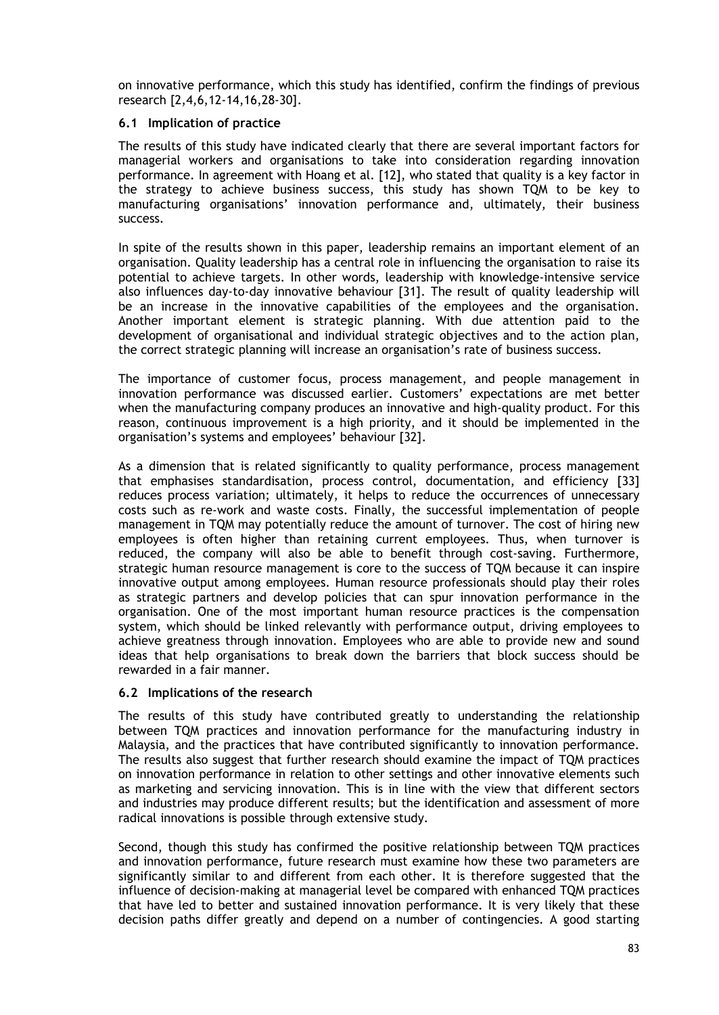on innovative performance, which this study has identified, confirm the findings of previous research [2,4,6,12-14,16,28-30].

## **6.1 Implication of practice**

The results of this study have indicated clearly that there are several important factors for managerial workers and organisations to take into consideration regarding innovation performance. In agreement with Hoang et al. [12], who stated that quality is a key factor in the strategy to achieve business success, this study has shown TQM to be key to manufacturing organisations' innovation performance and, ultimately, their business success.

In spite of the results shown in this paper, leadership remains an important element of an organisation. Quality leadership has a central role in influencing the organisation to raise its potential to achieve targets. In other words, leadership with knowledge-intensive service also influences day-to-day innovative behaviour [31]. The result of quality leadership will be an increase in the innovative capabilities of the employees and the organisation. Another important element is strategic planning. With due attention paid to the development of organisational and individual strategic objectives and to the action plan, the correct strategic planning will increase an organisation's rate of business success.

The importance of customer focus, process management, and people management in innovation performance was discussed earlier. Customers' expectations are met better when the manufacturing company produces an innovative and high-quality product. For this reason, continuous improvement is a high priority, and it should be implemented in the organisation's systems and employees' behaviour [32].

As a dimension that is related significantly to quality performance, process management that emphasises standardisation, process control, documentation, and efficiency [33] reduces process variation; ultimately, it helps to reduce the occurrences of unnecessary costs such as re-work and waste costs. Finally, the successful implementation of people management in TQM may potentially reduce the amount of turnover. The cost of hiring new employees is often higher than retaining current employees. Thus, when turnover is reduced, the company will also be able to benefit through cost-saving. Furthermore, strategic human resource management is core to the success of TQM because it can inspire innovative output among employees. Human resource professionals should play their roles as strategic partners and develop policies that can spur innovation performance in the organisation. One of the most important human resource practices is the compensation system, which should be linked relevantly with performance output, driving employees to achieve greatness through innovation. Employees who are able to provide new and sound ideas that help organisations to break down the barriers that block success should be rewarded in a fair manner.

#### **6.2 Implications of the research**

The results of this study have contributed greatly to understanding the relationship between TQM practices and innovation performance for the manufacturing industry in Malaysia, and the practices that have contributed significantly to innovation performance. The results also suggest that further research should examine the impact of TQM practices on innovation performance in relation to other settings and other innovative elements such as marketing and servicing innovation. This is in line with the view that different sectors and industries may produce different results; but the identification and assessment of more radical innovations is possible through extensive study.

Second, though this study has confirmed the positive relationship between TQM practices and innovation performance, future research must examine how these two parameters are significantly similar to and different from each other. It is therefore suggested that the influence of decision-making at managerial level be compared with enhanced TQM practices that have led to better and sustained innovation performance. It is very likely that these decision paths differ greatly and depend on a number of contingencies. A good starting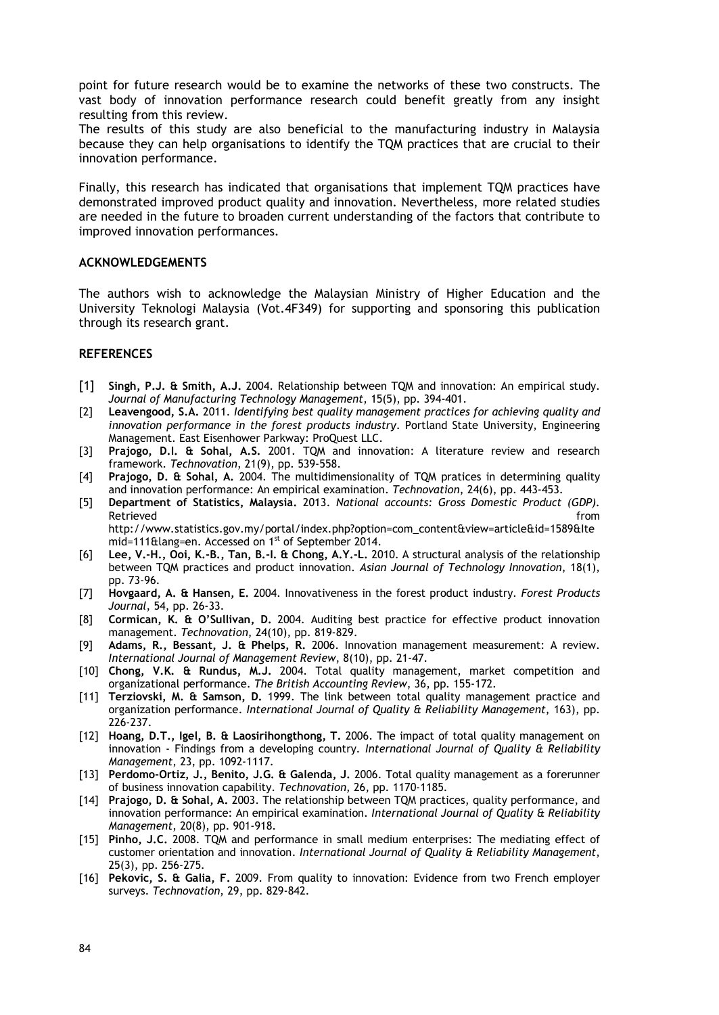point for future research would be to examine the networks of these two constructs. The vast body of innovation performance research could benefit greatly from any insight resulting from this review.

The results of this study are also beneficial to the manufacturing industry in Malaysia because they can help organisations to identify the TQM practices that are crucial to their innovation performance.

Finally, this research has indicated that organisations that implement TQM practices have demonstrated improved product quality and innovation. Nevertheless, more related studies are needed in the future to broaden current understanding of the factors that contribute to improved innovation performances.

#### **ACKNOWLEDGEMENTS**

The authors wish to acknowledge the Malaysian Ministry of Higher Education and the University Teknologi Malaysia (Vot.4F349) for supporting and sponsoring this publication through its research grant.

# **REFERENCES**

- [1] **Singh, P.J. & Smith, A.J.** 2004. Relationship between TQM and innovation: An empirical study. *Journal of Manufacturing Technology Management*, 15(5), pp. 394-401.
- [2] **Leavengood, S.A.** 2011. *Identifying best quality management practices for achieving quality and innovation performance in the forest products industry*. Portland State University, Engineering Management. East Eisenhower Parkway: ProQuest LLC.
- [3] **Prajogo, D.I. & Sohal, A.S.** 2001. TQM and innovation: A literature review and research framework. *Technovation*, 21(9), pp. 539-558.
- [4] **Prajogo, D. & Sohal, A.** 2004. The multidimensionality of TQM pratices in determining quality and innovation performance: An empirical examination. *Technovation*, 24(6), pp. 443-453.
- [5] **Department of Statistics, Malaysia.** 2013. *National accounts: Gross Domestic Product (GDP).* Retrieved **from the contract of the contract of the contract of the contract of the contract of the contract of the contract of the contract of the contract of the contract of the contract of the contract of the contract o** http://www.statistics.gov.my/portal/index.php?option=com\_content&view=article&id=1589&Ite mid=111&lang=en. Accessed on 1st of September 2014.
- [6] **Lee, V.-H., Ooi, K.-B., Tan, B.-I. & Chong, A.Y.-L.** 2010. A structural analysis of the relationship between TQM practices and product innovation. *Asian Journal of Technology Innovation*, 18(1), pp. 73-96.
- [7] **Hovgaard, A. & Hansen, E.** 2004. Innovativeness in the forest product industry. *Forest Products Journal*, 54, pp. 26-33.
- [8] **Cormican, K. & O'Sullivan, D.** 2004. Auditing best practice for effective product innovation management. *Technovation*, 24(10), pp. 819-829.
- [9] **Adams, R., Bessant, J. & Phelps, R.** 2006. Innovation management measurement: A review. *International Journal of Management Review*, 8(10), pp. 21-47.
- [10] **Chong, V.K. & Rundus, M.J.** 2004. Total quality management, market competition and organizational performance. *The British Accounting Review*, 36, pp. 155-172.
- [11] **Terziovski, M. & Samson, D.** 1999. The link between total quality management practice and organization performance. *International Journal of Quality & Reliability Management*, 163), pp. 226-237.
- [12] **Hoang, D.T., Igel, B. & Laosirihongthong, T.** 2006. The impact of total quality management on innovation - Findings from a developing country. *International Journal of Quality & Reliability Management*, 23, pp. 1092-1117.
- [13] **Perdomo-Ortiz, J., Benito, J.G. & Galenda, J.** 2006. Total quality management as a forerunner of business innovation capability. *Technovation*, 26, pp. 1170-1185.
- [14] **Prajogo, D. & Sohal, A.** 2003. The relationship between TQM practices, quality performance, and innovation performance: An empirical examination. *International Journal of Quality & Reliability Management*, 20(8), pp. 901-918.
- [15] **Pinho, J.C.** 2008. TQM and performance in small medium enterprises: The mediating effect of customer orientation and innovation. *International Journal of Quality & Reliability Management*, 25(3), pp. 256-275.
- [16] **Pekovic, S. & Galia, F.** 2009. From quality to innovation: Evidence from two French employer surveys. *Technovation*, 29, pp. 829-842.